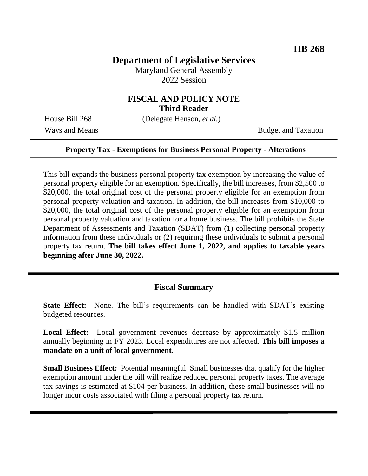# **Department of Legislative Services**

Maryland General Assembly 2022 Session

### **FISCAL AND POLICY NOTE Third Reader**

House Bill 268 (Delegate Henson, *et al.*)

Ways and Means Budget and Taxation

#### **Property Tax - Exemptions for Business Personal Property - Alterations**

This bill expands the business personal property tax exemption by increasing the value of personal property eligible for an exemption. Specifically, the bill increases, from \$2,500 to \$20,000, the total original cost of the personal property eligible for an exemption from personal property valuation and taxation. In addition, the bill increases from \$10,000 to \$20,000, the total original cost of the personal property eligible for an exemption from personal property valuation and taxation for a home business. The bill prohibits the State Department of Assessments and Taxation (SDAT) from (1) collecting personal property information from these individuals or (2) requiring these individuals to submit a personal property tax return. **The bill takes effect June 1, 2022, and applies to taxable years beginning after June 30, 2022.**

### **Fiscal Summary**

**State Effect:** None. The bill's requirements can be handled with SDAT's existing budgeted resources.

Local Effect: Local government revenues decrease by approximately \$1.5 million annually beginning in FY 2023. Local expenditures are not affected. **This bill imposes a mandate on a unit of local government.**

**Small Business Effect:** Potential meaningful. Small businesses that qualify for the higher exemption amount under the bill will realize reduced personal property taxes. The average tax savings is estimated at \$104 per business. In addition, these small businesses will no longer incur costs associated with filing a personal property tax return.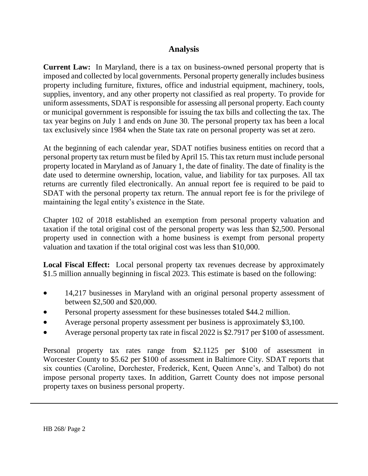## **Analysis**

**Current Law:** In Maryland, there is a tax on business-owned personal property that is imposed and collected by local governments. Personal property generally includes business property including furniture, fixtures, office and industrial equipment, machinery, tools, supplies, inventory, and any other property not classified as real property. To provide for uniform assessments, SDAT is responsible for assessing all personal property. Each county or municipal government is responsible for issuing the tax bills and collecting the tax. The tax year begins on July 1 and ends on June 30. The personal property tax has been a local tax exclusively since 1984 when the State tax rate on personal property was set at zero.

At the beginning of each calendar year, SDAT notifies business entities on record that a personal property tax return must be filed by April 15. This tax return must include personal property located in Maryland as of January 1, the date of finality. The date of finality is the date used to determine ownership, location, value, and liability for tax purposes. All tax returns are currently filed electronically. An annual report fee is required to be paid to SDAT with the personal property tax return. The annual report fee is for the privilege of maintaining the legal entity's existence in the State.

Chapter 102 of 2018 established an exemption from personal property valuation and taxation if the total original cost of the personal property was less than \$2,500. Personal property used in connection with a home business is exempt from personal property valuation and taxation if the total original cost was less than \$10,000.

**Local Fiscal Effect:** Local personal property tax revenues decrease by approximately \$1.5 million annually beginning in fiscal 2023. This estimate is based on the following:

- 14,217 businesses in Maryland with an original personal property assessment of between \$2,500 and \$20,000.
- Personal property assessment for these businesses totaled \$44.2 million.
- Average personal property assessment per business is approximately \$3,100.
- Average personal property tax rate in fiscal 2022 is \$2.7917 per \$100 of assessment.

Personal property tax rates range from \$2.1125 per \$100 of assessment in Worcester County to \$5.62 per \$100 of assessment in Baltimore City. SDAT reports that six counties (Caroline, Dorchester, Frederick, Kent, Queen Anne's, and Talbot) do not impose personal property taxes. In addition, Garrett County does not impose personal property taxes on business personal property.